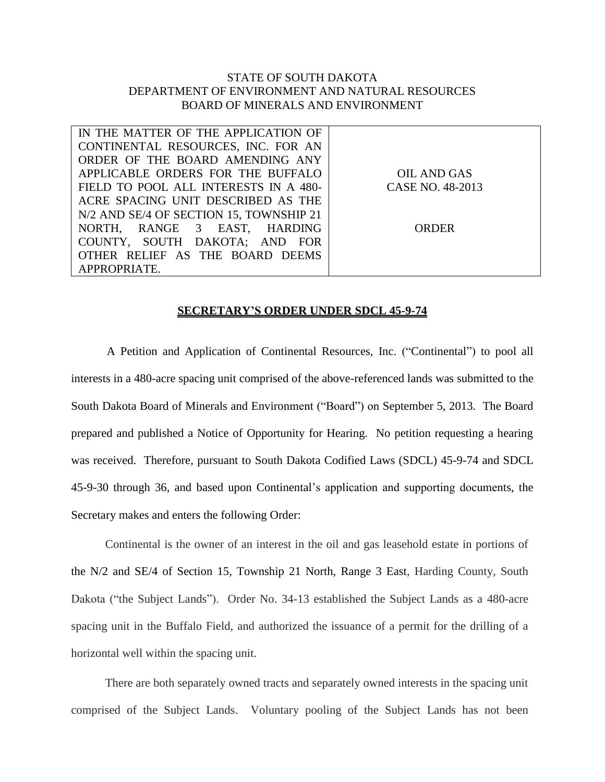## STATE OF SOUTH DAKOTA DEPARTMENT OF ENVIRONMENT AND NATURAL RESOURCES BOARD OF MINERALS AND ENVIRONMENT

| IN THE MATTER OF THE APPLICATION OF     |                  |
|-----------------------------------------|------------------|
| CONTINENTAL RESOURCES, INC. FOR AN      |                  |
| ORDER OF THE BOARD AMENDING ANY         |                  |
| APPLICABLE ORDERS FOR THE BUFFALO       | OIL AND GAS      |
| FIELD TO POOL ALL INTERESTS IN A 480-   | CASE NO. 48-2013 |
| ACRE SPACING UNIT DESCRIBED AS THE      |                  |
| N/2 AND SE/4 OF SECTION 15, TOWNSHIP 21 |                  |
| NORTH, RANGE 3 EAST, HARDING            | ORDER            |
| COUNTY, SOUTH DAKOTA; AND FOR           |                  |
| OTHER RELIEF AS THE BOARD DEEMS         |                  |
| APPROPRIATE.                            |                  |

## **SECRETARY'S ORDER UNDER SDCL 45-9-74**

A Petition and Application of Continental Resources, Inc. ("Continental") to pool all interests in a 480-acre spacing unit comprised of the above-referenced lands was submitted to the South Dakota Board of Minerals and Environment ("Board") on September 5, 2013. The Board prepared and published a Notice of Opportunity for Hearing. No petition requesting a hearing was received. Therefore, pursuant to South Dakota Codified Laws (SDCL) 45-9-74 and SDCL 45-9-30 through 36, and based upon Continental's application and supporting documents, the Secretary makes and enters the following Order:

Continental is the owner of an interest in the oil and gas leasehold estate in portions of the N/2 and SE/4 of Section 15, Township 21 North, Range 3 East, Harding County, South Dakota ("the Subject Lands"). Order No. 34-13 established the Subject Lands as a 480-acre spacing unit in the Buffalo Field, and authorized the issuance of a permit for the drilling of a horizontal well within the spacing unit.

There are both separately owned tracts and separately owned interests in the spacing unit comprised of the Subject Lands. Voluntary pooling of the Subject Lands has not been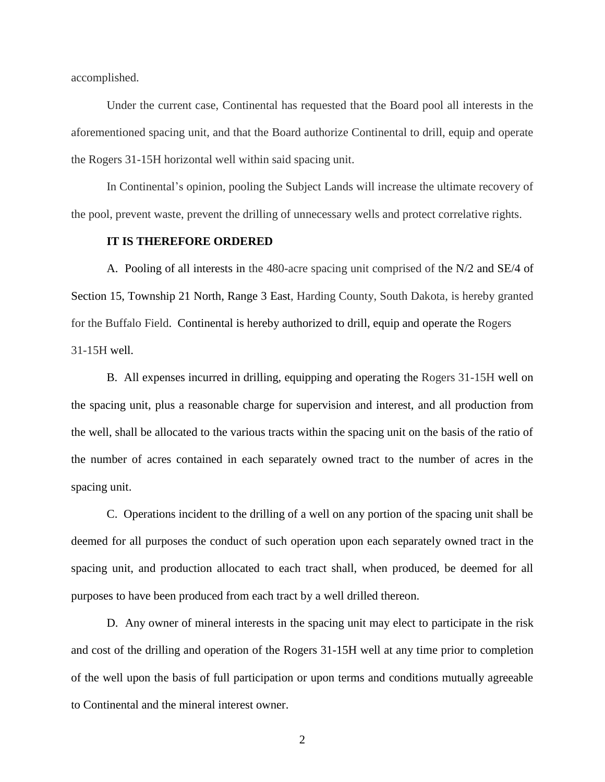accomplished.

Under the current case, Continental has requested that the Board pool all interests in the aforementioned spacing unit, and that the Board authorize Continental to drill, equip and operate the Rogers 31-15H horizontal well within said spacing unit.

In Continental's opinion, pooling the Subject Lands will increase the ultimate recovery of the pool, prevent waste, prevent the drilling of unnecessary wells and protect correlative rights.

## **IT IS THEREFORE ORDERED**

A. Pooling of all interests in the 480-acre spacing unit comprised of the N/2 and SE/4 of Section 15, Township 21 North, Range 3 East, Harding County, South Dakota, is hereby granted for the Buffalo Field. Continental is hereby authorized to drill, equip and operate the Rogers 31-15H well.

B. All expenses incurred in drilling, equipping and operating the Rogers 31-15H well on the spacing unit, plus a reasonable charge for supervision and interest, and all production from the well, shall be allocated to the various tracts within the spacing unit on the basis of the ratio of the number of acres contained in each separately owned tract to the number of acres in the spacing unit.

C. Operations incident to the drilling of a well on any portion of the spacing unit shall be deemed for all purposes the conduct of such operation upon each separately owned tract in the spacing unit, and production allocated to each tract shall, when produced, be deemed for all purposes to have been produced from each tract by a well drilled thereon.

D. Any owner of mineral interests in the spacing unit may elect to participate in the risk and cost of the drilling and operation of the Rogers 31-15H well at any time prior to completion of the well upon the basis of full participation or upon terms and conditions mutually agreeable to Continental and the mineral interest owner.

2